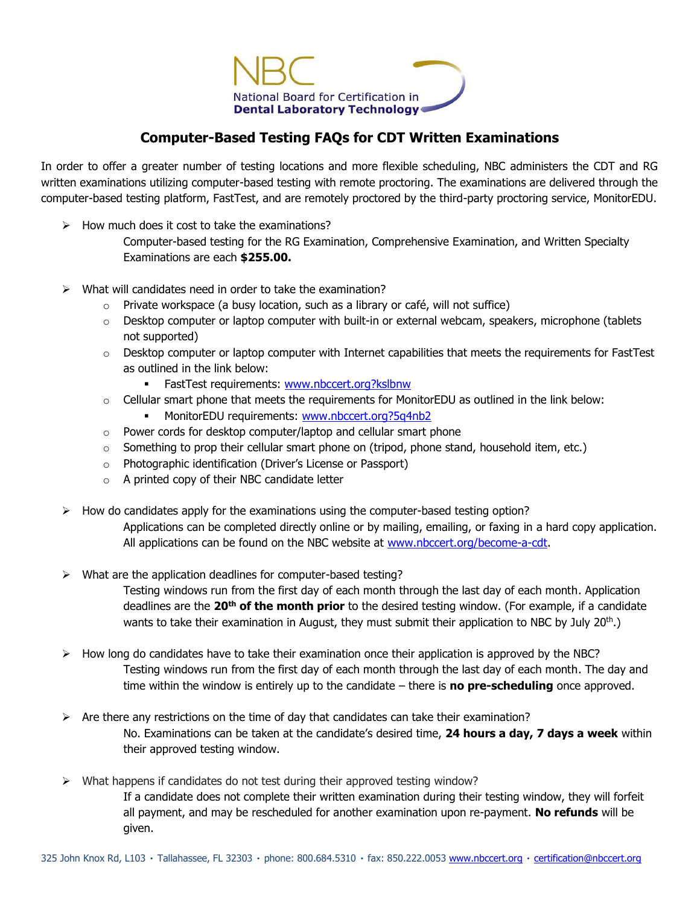

## **Computer-Based Testing FAQs for CDT Written Examinations**

In order to offer a greater number of testing locations and more flexible scheduling, NBC administers the CDT and RG written examinations utilizing computer-based testing with remote proctoring. The examinations are delivered through the computer-based testing platform, FastTest, and are remotely proctored by the third-party proctoring service, MonitorEDU.

- $\triangleright$  How much does it cost to take the examinations?
	- Computer-based testing for the RG Examination, Comprehensive Examination, and Written Specialty Examinations are each **\$255.00.**
- $\triangleright$  What will candidates need in order to take the examination?
	- $\circ$  Private workspace (a busy location, such as a library or café, will not suffice)
	- o Desktop computer or laptop computer with built-in or external webcam, speakers, microphone (tablets not supported)
	- o Desktop computer or laptop computer with Internet capabilities that meets the requirements for FastTest as outlined in the link below:
		- FastTest requirements: [www.nbccert.org?kslbnw](http://www.nbccert.org/?kslbnw)
	- $\circ$  Cellular smart phone that meets the requirements for MonitorEDU as outlined in the link below:
		- MonitorEDU requirements: www.nbccert.org?5q4nb2
	- $\circ$  Power cords for desktop computer/laptop and cellular smart phone
	- $\circ$  Something to prop their cellular smart phone on (tripod, phone stand, household item, etc.)
	- o Photographic identification (Driver's License or Passport)
	- o A printed copy of their NBC candidate letter
- $\triangleright$  How do candidates apply for the examinations using the computer-based testing option? Applications can be completed directly online or by mailing, emailing, or faxing in a hard copy application. All applications can be found on the NBC website at [www.nbccert.org/become-a-cdt.](http://www.nbccert.org/become-a-cdt)
- $\triangleright$  What are the application deadlines for computer-based testing?

Testing windows run from the first day of each month through the last day of each month. Application deadlines are the **20th of the month prior** to the desired testing window. (For example, if a candidate wants to take their examination in August, they must submit their application to NBC by July 20<sup>th</sup>.)

- $\triangleright$  How long do candidates have to take their examination once their application is approved by the NBC? Testing windows run from the first day of each month through the last day of each month. The day and time within the window is entirely up to the candidate – there is **no pre-scheduling** once approved.
- $\triangleright$  Are there any restrictions on the time of day that candidates can take their examination? No. Examinations can be taken at the candidate's desired time, **24 hours a day, 7 days a week** within their approved testing window.
- $\triangleright$  What happens if candidates do not test during their approved testing window?

If a candidate does not complete their written examination during their testing window, they will forfeit all payment, and may be rescheduled for another examination upon re-payment. **No refunds** will be given.